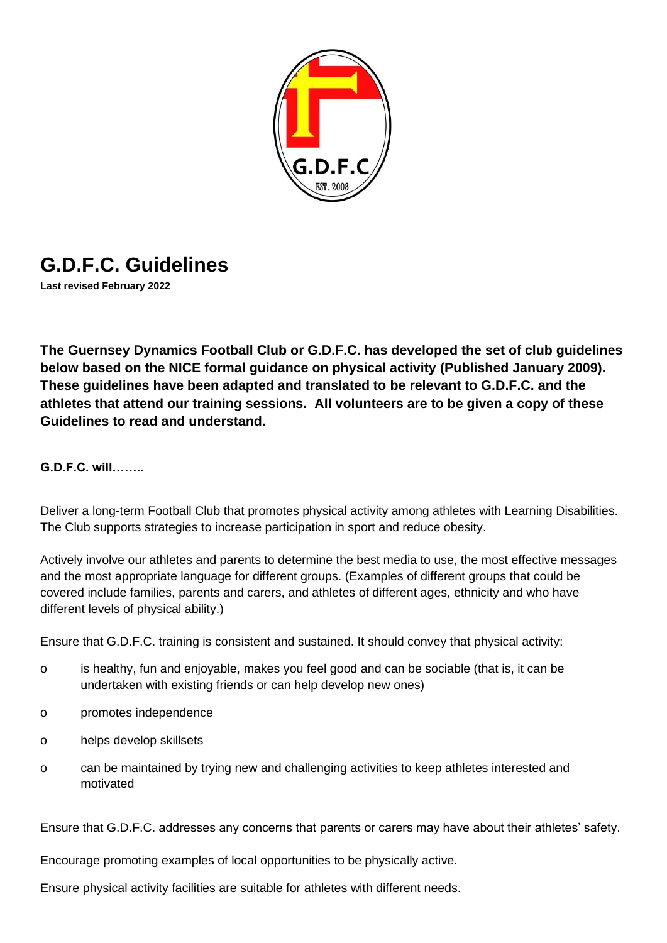

# **G.D.F.C. Guidelines**

**Last revised February 2022**

**The Guernsey Dynamics Football Club or G.D.F.C. has developed the set of club guidelines below based on the NICE formal guidance on physical activity (Published January 2009). These guidelines have been adapted and translated to be relevant to G.D.F.C. and the athletes that attend our training sessions. All volunteers are to be given a copy of these Guidelines to read and understand.**

**G.D.F.C. will……..**

Deliver a long-term Football Club that promotes physical activity among athletes with Learning Disabilities. The Club supports strategies to increase participation in sport and reduce obesity.

Actively involve our athletes and parents to determine the best media to use, the most effective messages and the most appropriate language for different groups. (Examples of different groups that could be covered include families, parents and carers, and athletes of different ages, ethnicity and who have different levels of physical ability.)

Ensure that G.D.F.C. training is consistent and sustained. It should convey that physical activity:

- o is healthy, fun and enjoyable, makes you feel good and can be sociable (that is, it can be undertaken with existing friends or can help develop new ones)
- o promotes independence
- o helps develop skillsets
- o can be maintained by trying new and challenging activities to keep athletes interested and motivated

Ensure that G.D.F.C. addresses any concerns that parents or carers may have about their athletes' safety.

Encourage promoting examples of local opportunities to be physically active.

Ensure physical activity facilities are suitable for athletes with different needs.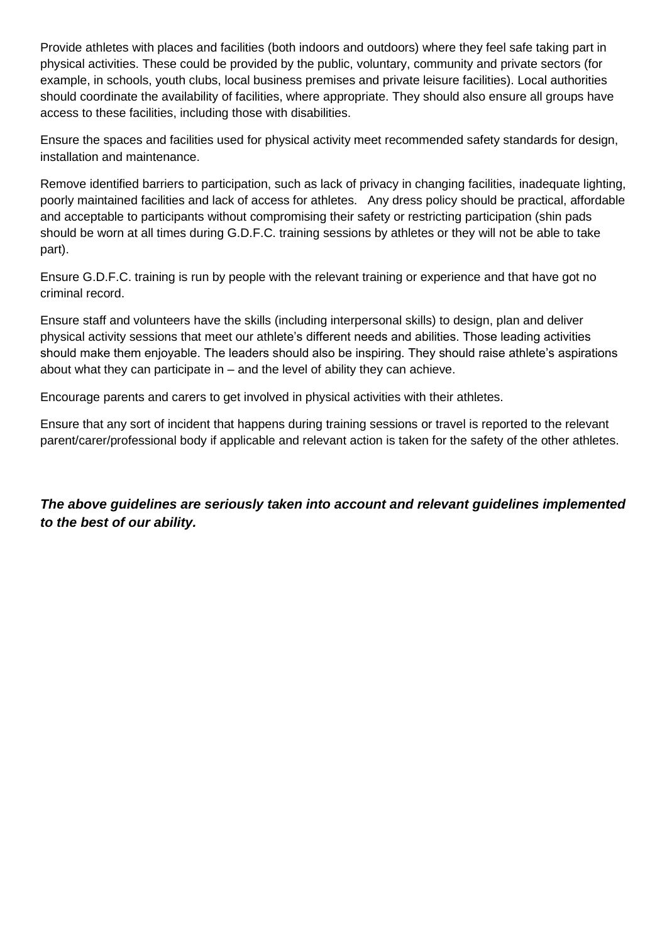Provide athletes with places and facilities (both indoors and outdoors) where they feel safe taking part in physical activities. These could be provided by the public, voluntary, community and private sectors (for example, in schools, youth clubs, local business premises and private leisure facilities). Local authorities should coordinate the availability of facilities, where appropriate. They should also ensure all groups have access to these facilities, including those with disabilities.

Ensure the spaces and facilities used for physical activity meet recommended safety standards for design, installation and maintenance.

Remove identified barriers to participation, such as lack of privacy in changing facilities, inadequate lighting, poorly maintained facilities and lack of access for athletes. Any dress policy should be practical, affordable and acceptable to participants without compromising their safety or restricting participation (shin pads should be worn at all times during G.D.F.C. training sessions by athletes or they will not be able to take part).

Ensure G.D.F.C. training is run by people with the relevant training or experience and that have got no criminal record.

Ensure staff and volunteers have the skills (including interpersonal skills) to design, plan and deliver physical activity sessions that meet our athlete's different needs and abilities. Those leading activities should make them enjoyable. The leaders should also be inspiring. They should raise athlete's aspirations about what they can participate in – and the level of ability they can achieve.

Encourage parents and carers to get involved in physical activities with their athletes.

Ensure that any sort of incident that happens during training sessions or travel is reported to the relevant parent/carer/professional body if applicable and relevant action is taken for the safety of the other athletes.

*The above guidelines are seriously taken into account and relevant guidelines implemented to the best of our ability.*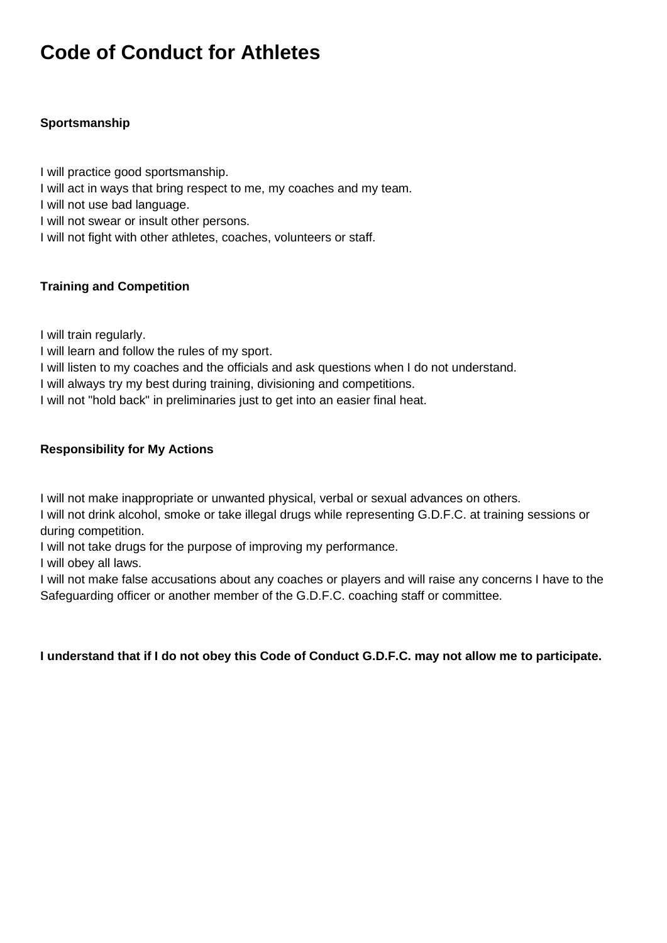# **Code of Conduct for Athletes**

### **Sportsmanship**

I will practice good sportsmanship.

- I will act in ways that bring respect to me, my coaches and my team.
- I will not use bad language.
- I will not swear or insult other persons.
- I will not fight with other athletes, coaches, volunteers or staff.

### **Training and Competition**

I will train regularly.

- I will learn and follow the rules of my sport.
- I will listen to my coaches and the officials and ask questions when I do not understand.
- I will always try my best during training, divisioning and competitions.
- I will not "hold back" in preliminaries just to get into an easier final heat.

#### **Responsibility for My Actions**

I will not make inappropriate or unwanted physical, verbal or sexual advances on others.

I will not drink alcohol, smoke or take illegal drugs while representing G.D.F.C. at training sessions or during competition.

I will not take drugs for the purpose of improving my performance.

I will obey all laws.

I will not make false accusations about any coaches or players and will raise any concerns I have to the Safeguarding officer or another member of the G.D.F.C. coaching staff or committee.

**I understand that if I do not obey this Code of Conduct G.D.F.C. may not allow me to participate.**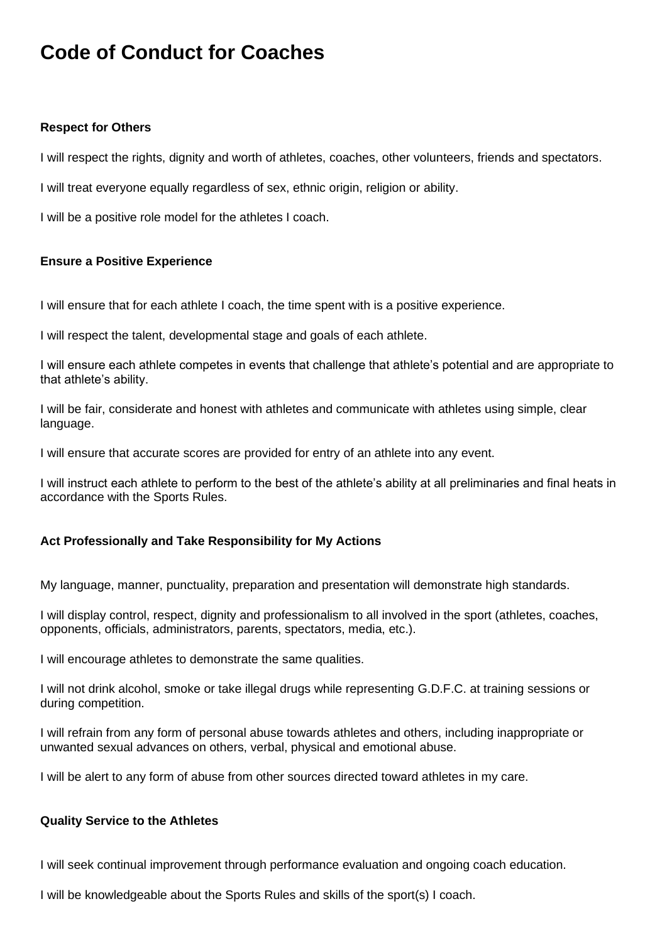# **Code of Conduct for Coaches**

#### **Respect for Others**

I will respect the rights, dignity and worth of athletes, coaches, other volunteers, friends and spectators.

I will treat everyone equally regardless of sex, ethnic origin, religion or ability.

I will be a positive role model for the athletes I coach.

#### **Ensure a Positive Experience**

I will ensure that for each athlete I coach, the time spent with is a positive experience.

I will respect the talent, developmental stage and goals of each athlete.

I will ensure each athlete competes in events that challenge that athlete's potential and are appropriate to that athlete's ability.

I will be fair, considerate and honest with athletes and communicate with athletes using simple, clear language.

I will ensure that accurate scores are provided for entry of an athlete into any event.

I will instruct each athlete to perform to the best of the athlete's ability at all preliminaries and final heats in accordance with the Sports Rules.

### **Act Professionally and Take Responsibility for My Actions**

My language, manner, punctuality, preparation and presentation will demonstrate high standards.

I will display control, respect, dignity and professionalism to all involved in the sport (athletes, coaches, opponents, officials, administrators, parents, spectators, media, etc.).

I will encourage athletes to demonstrate the same qualities.

I will not drink alcohol, smoke or take illegal drugs while representing G.D.F.C. at training sessions or during competition.

I will refrain from any form of personal abuse towards athletes and others, including inappropriate or unwanted sexual advances on others, verbal, physical and emotional abuse.

I will be alert to any form of abuse from other sources directed toward athletes in my care.

#### **Quality Service to the Athletes**

I will seek continual improvement through performance evaluation and ongoing coach education.

I will be knowledgeable about the Sports Rules and skills of the sport(s) I coach.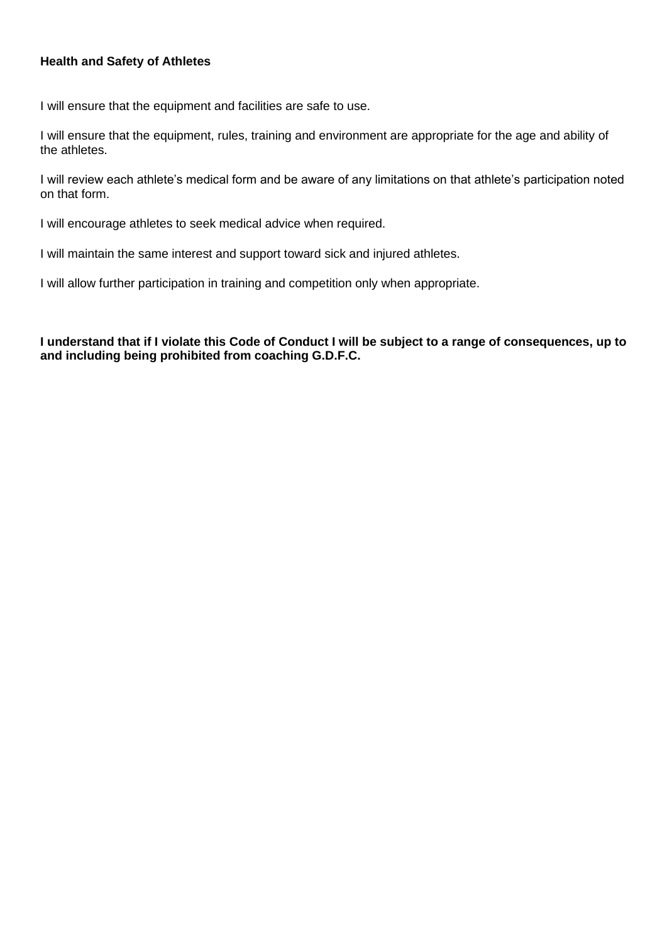#### **Health and Safety of Athletes**

I will ensure that the equipment and facilities are safe to use.

I will ensure that the equipment, rules, training and environment are appropriate for the age and ability of the athletes.

I will review each athlete's medical form and be aware of any limitations on that athlete's participation noted on that form.

I will encourage athletes to seek medical advice when required.

I will maintain the same interest and support toward sick and injured athletes.

I will allow further participation in training and competition only when appropriate.

**I understand that if I violate this Code of Conduct I will be subject to a range of consequences, up to and including being prohibited from coaching G.D.F.C.**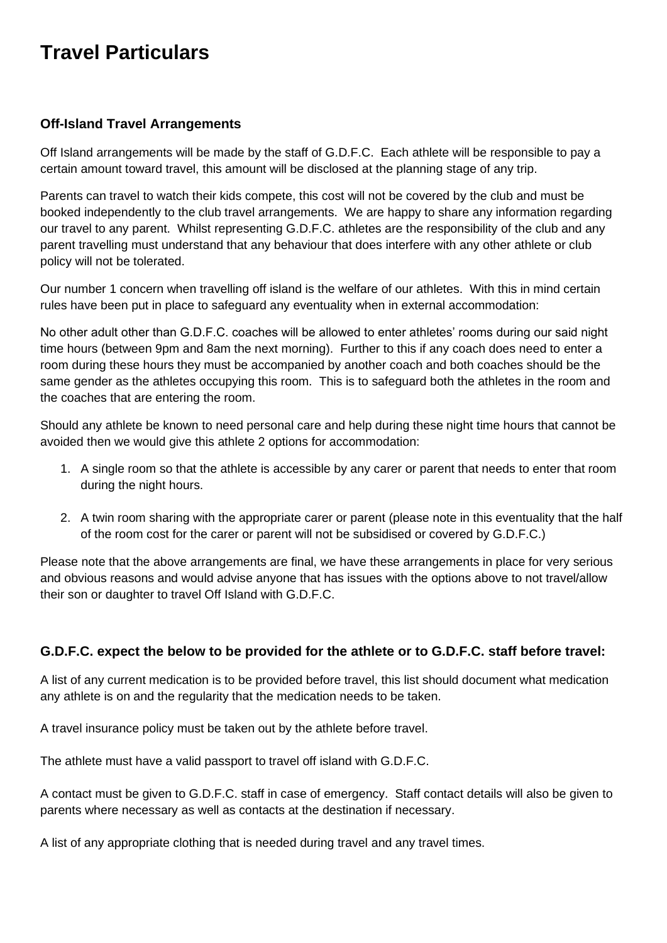# **Travel Particulars**

## **Off-Island Travel Arrangements**

Off Island arrangements will be made by the staff of G.D.F.C. Each athlete will be responsible to pay a certain amount toward travel, this amount will be disclosed at the planning stage of any trip.

Parents can travel to watch their kids compete, this cost will not be covered by the club and must be booked independently to the club travel arrangements. We are happy to share any information regarding our travel to any parent. Whilst representing G.D.F.C. athletes are the responsibility of the club and any parent travelling must understand that any behaviour that does interfere with any other athlete or club policy will not be tolerated.

Our number 1 concern when travelling off island is the welfare of our athletes. With this in mind certain rules have been put in place to safeguard any eventuality when in external accommodation:

No other adult other than G.D.F.C. coaches will be allowed to enter athletes' rooms during our said night time hours (between 9pm and 8am the next morning). Further to this if any coach does need to enter a room during these hours they must be accompanied by another coach and both coaches should be the same gender as the athletes occupying this room. This is to safeguard both the athletes in the room and the coaches that are entering the room.

Should any athlete be known to need personal care and help during these night time hours that cannot be avoided then we would give this athlete 2 options for accommodation:

- 1. A single room so that the athlete is accessible by any carer or parent that needs to enter that room during the night hours.
- 2. A twin room sharing with the appropriate carer or parent (please note in this eventuality that the half of the room cost for the carer or parent will not be subsidised or covered by G.D.F.C.)

Please note that the above arrangements are final, we have these arrangements in place for very serious and obvious reasons and would advise anyone that has issues with the options above to not travel/allow their son or daughter to travel Off Island with G.D.F.C.

# **G.D.F.C. expect the below to be provided for the athlete or to G.D.F.C. staff before travel:**

A list of any current medication is to be provided before travel, this list should document what medication any athlete is on and the regularity that the medication needs to be taken.

A travel insurance policy must be taken out by the athlete before travel.

The athlete must have a valid passport to travel off island with G.D.F.C.

A contact must be given to G.D.F.C. staff in case of emergency. Staff contact details will also be given to parents where necessary as well as contacts at the destination if necessary.

A list of any appropriate clothing that is needed during travel and any travel times.